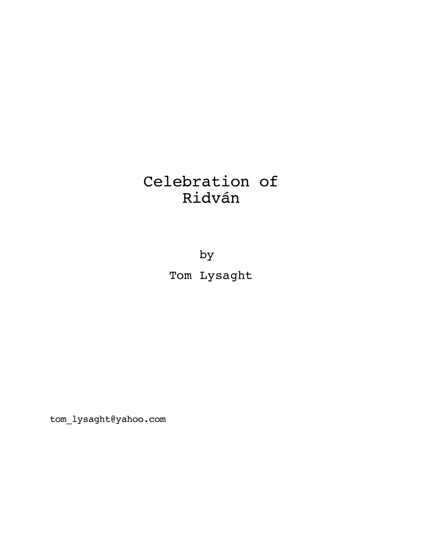# Celebration of Ridván

by Tom Lysaght

tom\_lysaght@yahoo.com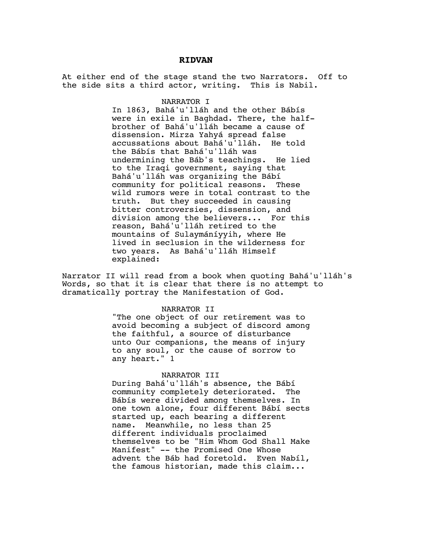## **RIDVAN**

At either end of the stage stand the two Narrators. Off to the side sits a third actor, writing. This is Nabil.

#### NARRATOR I

In 1863, Bahá'u'lláh and the other Bábís were in exile in Baghdad. There, the halfbrother of Bahá'u'lláh became a cause of dissension. Mirza Yahyá spread false<br>accussations about Bahá'u'lláh. He told accussations about Bahá'u'lláh. the Bábís that Bahá'u'lláh was undermining the Báb's teachings. He lied to the Iraqi government, saying that Bahá'u'lláh was organizing the Bábí community for political reasons. These wild rumors were in total contrast to the truth. But they succeeded in causing bitter controversies, dissension, and division among the believers... For this reason, Bahá'u'lláh retired to the mountains of Sulaymáníyyih, where He lived in seclusion in the wilderness for two years. As Bahá'u'lláh Himself explained:

Narrator II will read from a book when quoting Bahá'u'lláh's Words, so that it is clear that there is no attempt to dramatically portray the Manifestation of God.

#### NARRATOR II

"The one object of our retirement was to avoid becoming a subject of discord among the faithful, a source of disturbance unto Our companions, the means of injury to any soul, or the cause of sorrow to any heart." 1

#### NARRATOR III

During Bahá'u'lláh's absence, the Bábí community completely deteriorated. The Bábís were divided among themselves. In one town alone, four different Bábí sects started up, each bearing a different name. Meanwhile, no less than 25 different individuals proclaimed themselves to be "Him Whom God Shall Make Manifest" -- the Promised One Whose advent the Báb had foretold. Even Nabíl, the famous historian, made this claim...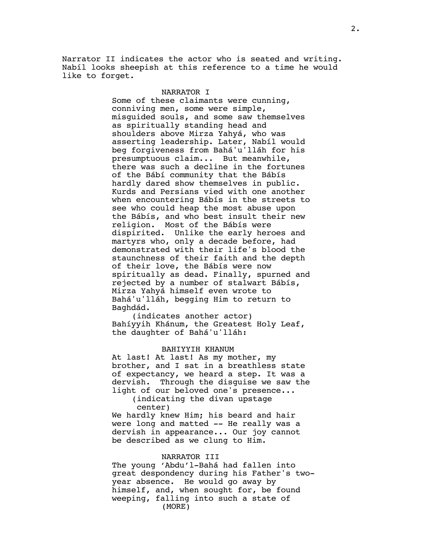Narrator II indicates the actor who is seated and writing. Nabíl looks sheepish at this reference to a time he would like to forget.

## NARRATOR I

Some of these claimants were cunning, conniving men, some were simple, misguided souls, and some saw themselves as spiritually standing head and shoulders above Mirza Yahyá, who was asserting leadership. Later, Nabíl would beg forgiveness from Bahá'u'lláh for his presumptuous claim... But meanwhile, there was such a decline in the fortunes of the Bábí community that the Bábís hardly dared show themselves in public. Kurds and Persians vied with one another when encountering Bábís in the streets to see who could heap the most abuse upon the Bábís, and who best insult their new religion. Most of the Bábís were dispirited. Unlike the early heroes and martyrs who, only a decade before, had demonstrated with their life's blood the staunchness of their faith and the depth of their love, the Bábís were now spiritually as dead. Finally, spurned and rejected by a number of stalwart Bábís, Mirza Yahyá himself even wrote to Bahá'u'lláh, begging Him to return to Baghdád.

(indicates another actor) Bahíyyih Khánum, the Greatest Holy Leaf, the daughter of Bahá'u'lláh:

## BAHIYYIH KHANUM

At last! At last! As my mother, my brother, and I sat in a breathless state of expectancy, we heard a step. It was a dervish. Through the disguise we saw the light of our beloved one's presence...

(indicating the divan upstage center)

We hardly knew Him; his beard and hair were long and matted -- He really was a dervish in appearance... Our joy cannot be described as we clung to Him.

#### NARRATOR III

The young 'Abdu'l-Bahá had fallen into great despondency during his Father's twoyear absence. He would go away by himself, and, when sought for, be found weeping, falling into such a state of (MORE)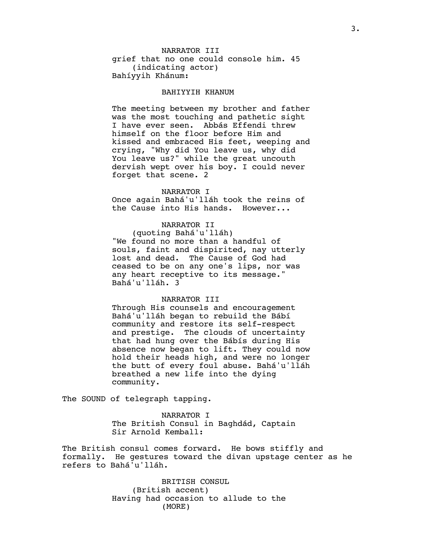# grief that no one could console him. 45 (indicating actor) Bahíyyih Khánum: NARRATOR III

#### BAHIYYIH KHANUM

The meeting between my brother and father was the most touching and pathetic sight I have ever seen. Abbás Effendi threw himself on the floor before Him and kissed and embraced His feet, weeping and crying, "Why did You leave us, why did You leave us?" while the great uncouth dervish wept over his boy. I could never forget that scene. 2

#### NARRATOR I

Once again Bahá'u'lláh took the reins of the Cause into His hands. However...

# NARRATOR II

(quoting Bahá'u'lláh) "We found no more than a handful of souls, faint and dispirited, nay utterly lost and dead. The Cause of God had ceased to be on any one's lips, nor was any heart receptive to its message." Bahá'u'lláh. 3

## NARRATOR III

Through His counsels and encouragement Bahá'u'lláh began to rebuild the Bábí community and restore its self-respect and prestige. The clouds of uncertainty that had hung over the Bábís during His absence now began to lift. They could now hold their heads high, and were no longer the butt of every foul abuse. Bahá'u'lláh breathed a new life into the dying community.

The SOUND of telegraph tapping.

NARRATOR I The British Consul in Baghdád, Captain Sir Arnold Kemball:

The British consul comes forward. He bows stiffly and formally. He gestures toward the divan upstage center as he refers to Bahá'u'lláh.

> BRITISH CONSUL (British accent) Having had occasion to allude to the (MORE)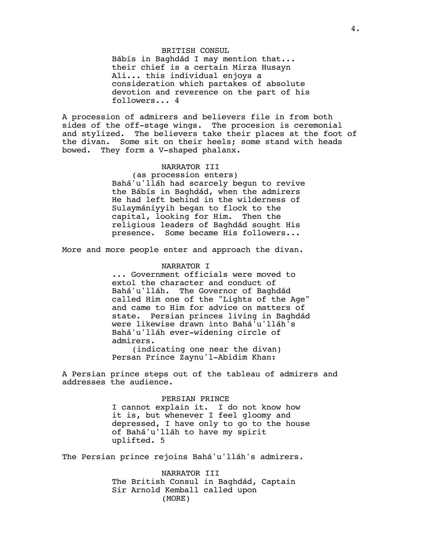# BRITISH CONSUL

Bábís in Baghdád I may mention that... their chief is a certain Mirza Husayn Ali... this individual enjoys a consideration which partakes of absolute devotion and reverence on the part of his followers... 4

A procession of admirers and believers file in from both sides of the off-stage wings. The procesion is ceremonial and stylized. The believers take their places at the foot of the divan. Some sit on their heels; some stand with heads bowed. They form a V-shaped phalanx.

# NARRATOR III

(as procession enters) Bahá'u'lláh had scarcely begun to revive the Bábís in Baghdád, when the admirers He had left behind in the wilderness of Sulaymáníyyih began to flock to the capital, looking for Him. Then the religious leaders of Baghdád sought His presence. Some became His followers...

More and more people enter and approach the divan.

## NARRATOR I

... Government officials were moved to extol the character and conduct of Bahá'u'lláh. The Governor of Baghdád called Him one of the "Lights of the Age" and came to Him for advice on matters of state. Persian princes living in Baghdád were likewise drawn into Bahá'u'lláh's Bahá'u'lláh ever-widening circle of admirers.

(indicating one near the divan) Persan Prince Zaynu'l-Abidim Khan:

A Persian prince steps out of the tableau of admirers and addresses the audience.

## PERSIAN PRINCE

I cannot explain it. I do not know how it is, but whenever I feel gloomy and depressed, I have only to go to the house of Bahá'u'lláh to have my spirit uplifted. 5

The Persian prince rejoins Bahá'u'lláh's admirers.

NARRATOR III The British Consul in Baghdád, Captain Sir Arnold Kemball called upon (MORE)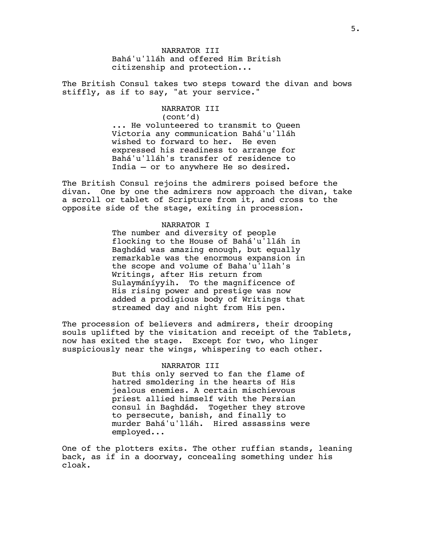Bahá'u'lláh and offered Him British citizenship and protection... NARRATOR III

The British Consul takes two steps toward the divan and bows stiffly, as if to say, "at your service."

> NARRATOR III (cont'd) ... He volunteered to transmit to Queen Victoria any communication Bahá'u'lláh wished to forward to her. He even expressed his readiness to arrange for Bahá'u'lláh's transfer of residence to India — or to anywhere He so desired.

The British Consul rejoins the admirers poised before the divan. One by one the admirers now approach the divan, take a scroll or tablet of Scripture from it, and cross to the opposite side of the stage, exiting in procession.

## NARRATOR I

The number and diversity of people flocking to the House of Bahá'u'lláh in Baghdád was amazing enough, but equally remarkable was the enormous expansion in the scope and volume of Baha'u'llah's Writings, after His return from Sulaymáníyyih. To the magnificence of His rising power and prestige was now added a prodigious body of Writings that streamed day and night from His pen.

The procession of believers and admirers, their drooping souls uplifted by the visitation and receipt of the Tablets, now has exited the stage. Except for two, who linger suspiciously near the wings, whispering to each other.

#### NARRATOR III

But this only served to fan the flame of hatred smoldering in the hearts of His jealous enemies. A certain mischievous priest allied himself with the Persian consul in Baghdád. Together they strove to persecute, banish, and finally to murder Bahá'u'lláh. Hired assassins were employed...

One of the plotters exits. The other ruffian stands, leaning back, as if in a doorway, concealing something under his cloak.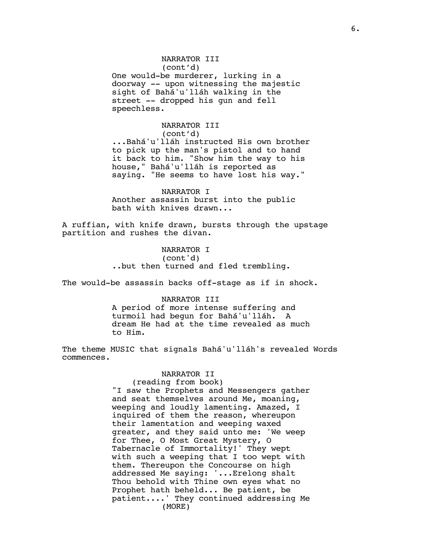# NARRATOR III

(cont'd)

One would-be murderer, lurking in a doorway -- upon witnessing the majestic sight of Bahá'u'lláh walking in the street -- dropped his gun and fell speechless.

## NARRATOR III (cont'd)

...Bahá'u'lláh instructed His own brother to pick up the man's pistol and to hand it back to him. "Show him the way to his house," Bahá'u'lláh is reported as saying. "He seems to have lost his way."

NARRATOR I

Another assassin burst into the public bath with knives drawn...

A ruffian, with knife drawn, bursts through the upstage partition and rushes the divan.

> NARRATOR I (cont'd) ..but then turned and fled trembling.

The would-be assassin backs off-stage as if in shock.

# NARRATOR III

A period of more intense suffering and turmoil had begun for Bahá'u'lláh. A dream He had at the time revealed as much to Him.

The theme MUSIC that signals Bahá'u'lláh's revealed Words commences.

# NARRATOR II

(reading from book) "I saw the Prophets and Messengers gather and seat themselves around Me, moaning, weeping and loudly lamenting. Amazed, I inquired of them the reason, whereupon their lamentation and weeping waxed greater, and they said unto me: 'We weep for Thee, O Most Great Mystery, O Tabernacle of Immortality!' They wept with such a weeping that I too wept with them. Thereupon the Concourse on high addressed Me saying: '...Erelong shalt Thou behold with Thine own eyes what no Prophet hath beheld... Be patient, be patient....' They continued addressing Me (MORE)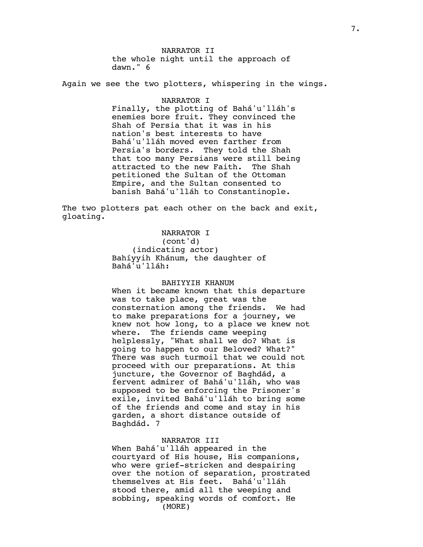the whole night until the approach of dawn." 6 NARRATOR II

Again we see the two plotters, whispering in the wings.

#### NARRATOR I

Finally, the plotting of Bahá'u'lláh's enemies bore fruit. They convinced the Shah of Persia that it was in his nation's best interests to have Bahá'u'lláh moved even farther from Persia's borders. They told the Shah that too many Persians were still being attracted to the new Faith. The Shah petitioned the Sultan of the Ottoman Empire, and the Sultan consented to banish Bahá'u'lláh to Constantinople.

The two plotters pat each other on the back and exit, gloating.

# NARRATOR I

(cont'd) (indicating actor) Bahíyyih Khánum, the daughter of Bahá'u'lláh:

#### BAHIYYIH KHANUM

When it became known that this departure was to take place, great was the consternation among the friends. We had to make preparations for a journey, we knew not how long, to a place we knew not where. The friends came weeping helplessly, "What shall we do? What is going to happen to our Beloved? What?" There was such turmoil that we could not proceed with our preparations. At this juncture, the Governor of Baghdád, a fervent admirer of Bahá'u'lláh, who was supposed to be enforcing the Prisoner's exile, invited Bahá'u'lláh to bring some of the friends and come and stay in his garden, a short distance outside of Baghdád. 7

# NARRATOR III

When Bahá'u'lláh appeared in the courtyard of His house, His companions, who were grief-stricken and despairing over the notion of separation, prostrated themselves at His feet. Bahá'u'lláh stood there, amid all the weeping and sobbing, speaking words of comfort. He (MORE)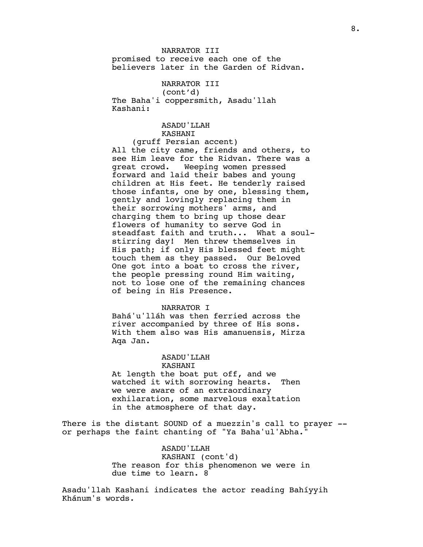promised to receive each one of the believers later in the Garden of Ridvan. NARRATOR III

NARRATOR III (cont'd) The Baha'i coppersmith, Asadu'llah Kashani:

## ASADU'LLAH KASHANI

(gruff Persian accent) All the city came, friends and others, to see Him leave for the Ridvan. There was a great crowd. Weeping women pressed forward and laid their babes and young children at His feet. He tenderly raised those infants, one by one, blessing them, gently and lovingly replacing them in their sorrowing mothers' arms, and charging them to bring up those dear flowers of humanity to serve God in steadfast faith and truth... What a soulstirring day! Men threw themselves in His path; if only His blessed feet might touch them as they passed. Our Beloved One got into a boat to cross the river, the people pressing round Him waiting, not to lose one of the remaining chances of being in His Presence.

## NARRATOR I

Bahá'u'lláh was then ferried across the river accompanied by three of His sons. With them also was His amanuensis, Mirza Aqa Jan.

# ASADU'LLAH

#### KASHANI

At length the boat put off, and we watched it with sorrowing hearts. Then we were aware of an extraordinary exhilaration, some marvelous exaltation in the atmosphere of that day.

There is the distant SOUND of a muezzin's call to prayer - or perhaps the faint chanting of "Ya Baha'ul'Abha."

# ASADU'LLAH

KASHANI (cont'd) The reason for this phenomenon we were in due time to learn. 8

Asadu'llah Kashani indicates the actor reading Bahíyyih Khánum's words.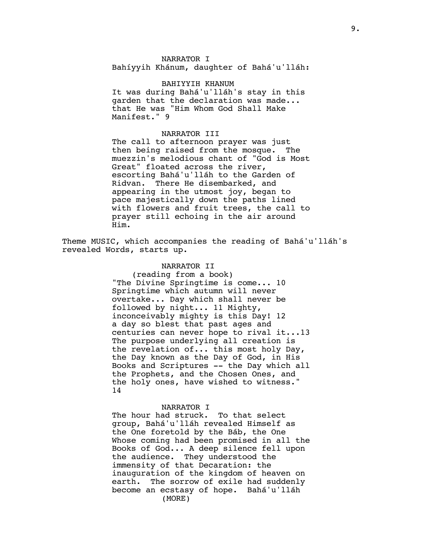NARRATOR I Bahíyyih Khánum, daughter of Bahá'u'lláh:

BAHIYYIH KHANUM It was during Bahá'u'lláh's stay in this garden that the declaration was made... that He was "Him Whom God Shall Make Manifest." 9

## NARRATOR III

The call to afternoon prayer was just then being raised from the mosque. The muezzin's melodious chant of "God is Most Great" floated across the river, escorting Bahá'u'lláh to the Garden of Ridvan. There He disembarked, and appearing in the utmost joy, began to pace majestically down the paths lined with flowers and fruit trees, the call to prayer still echoing in the air around Him.

Theme MUSIC, which accompanies the reading of Bahá'u'lláh's revealed Words, starts up.

# NARRATOR II

(reading from a book) "The Divine Springtime is come... 10 Springtime which autumn will never overtake... Day which shall never be followed by night... 11 Mighty, inconceivably mighty is this Day! 12 a day so blest that past ages and centuries can never hope to rival it...13 The purpose underlying all creation is the revelation of... this most holy Day, the Day known as the Day of God, in His Books and Scriptures -- the Day which all the Prophets, and the Chosen Ones, and the holy ones, have wished to witness." 14

#### NARRATOR I

The hour had struck. To that select group, Bahá'u'lláh revealed Himself as the One foretold by the Báb, the One Whose coming had been promised in all the Books of God... A deep silence fell upon the audience. They understood the immensity of that Decaration: the inauguration of the kingdom of heaven on earth. The sorrow of exile had suddenly become an ecstasy of hope. Bahá'u'lláh (MORE)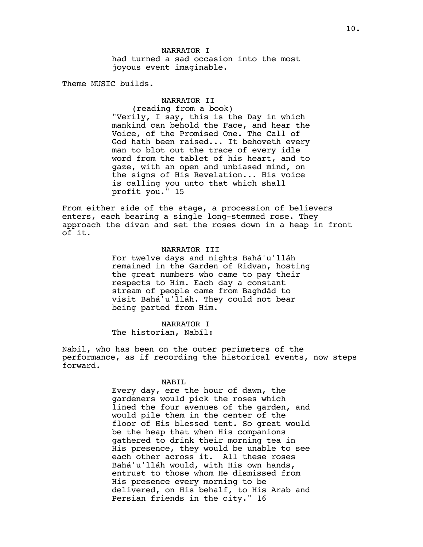had turned a sad occasion into the most joyous event imaginable. NARRATOR I

Theme MUSIC builds.

# NARRATOR II

(reading from a book) "Verily, I say, this is the Day in which mankind can behold the Face, and hear the Voice, of the Promised One. The Call of God hath been raised... It behoveth every man to blot out the trace of every idle word from the tablet of his heart, and to gaze, with an open and unbiased mind, on the signs of His Revelation... His voice is calling you unto that which shall profit you." 15

From either side of the stage, a procession of believers enters, each bearing a single long-stemmed rose. They approach the divan and set the roses down in a heap in front of it.

# NARRATOR III

For twelve days and nights Bahá'u'lláh remained in the Garden of Ridvan, hosting the great numbers who came to pay their respects to Him. Each day a constant stream of people came from Baghdád to visit Bahá'u'lláh. They could not bear being parted from Him.

NARRATOR I The historian, Nabíl:

Nabíl, who has been on the outer perimeters of the performance, as if recording the historical events, now steps forward.

#### NABIL

Every day, ere the hour of dawn, the gardeners would pick the roses which lined the four avenues of the garden, and would pile them in the center of the floor of His blessed tent. So great would be the heap that when His companions gathered to drink their morning tea in His presence, they would be unable to see each other across it. All these roses Bahá'u'lláh would, with His own hands, entrust to those whom He dismissed from His presence every morning to be delivered, on His behalf, to His Arab and Persian friends in the city." 16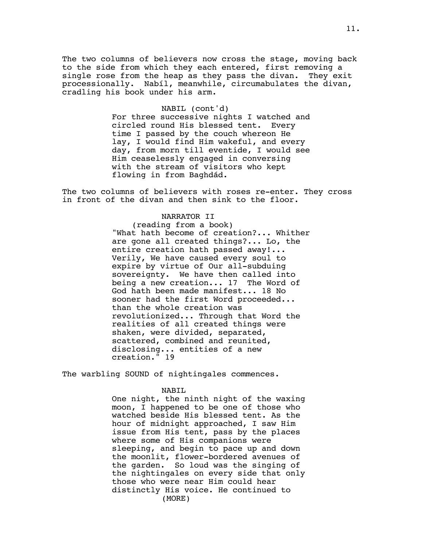The two columns of believers now cross the stage, moving back to the side from which they each entered, first removing a single rose from the heap as they pass the divan. They exit processionally. Nabíl, meanwhile, circumabulates the divan, cradling his book under his arm.

#### NABIL (cont'd)

For three successive nights I watched and circled round His blessed tent. Every time I passed by the couch whereon He lay, I would find Him wakeful, and every day, from morn till eventide, I would see Him ceaselessly engaged in conversing with the stream of visitors who kept flowing in from Baghdád.

The two columns of believers with roses re-enter. They cross in front of the divan and then sink to the floor.

#### NARRATOR II

(reading from a book) "What hath become of creation?... Whither are gone all created things?... Lo, the entire creation hath passed away!... Verily, We have caused every soul to expire by virtue of Our all-subduing sovereignty. We have then called into being a new creation... 17 The Word of God hath been made manifest... 18 No sooner had the first Word proceeded... than the whole creation was revolutionized... Through that Word the realities of all created things were shaken, were divided, separated, scattered, combined and reunited, disclosing... entities of a new creation." 19

The warbling SOUND of nightingales commences.

#### NABIL

One night, the ninth night of the waxing moon, I happened to be one of those who watched beside His blessed tent. As the hour of midnight approached, I saw Him issue from His tent, pass by the places where some of His companions were sleeping, and begin to pace up and down the moonlit, flower-bordered avenues of the garden. So loud was the singing of the nightingales on every side that only those who were near Him could hear distinctly His voice. He continued to (MORE)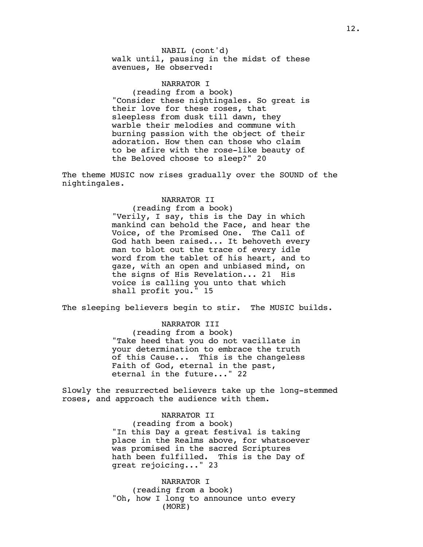walk until, pausing in the midst of these avenues, He observed: NABIL (cont'd)

NARRATOR I (reading from a book) "Consider these nightingales. So great is their love for these roses, that sleepless from dusk till dawn, they warble their melodies and commune with burning passion with the object of their adoration. How then can those who claim to be afire with the rose-like beauty of the Beloved choose to sleep?" 20

The theme MUSIC now rises gradually over the SOUND of the nightingales.

#### NARRATOR II

(reading from a book) "Verily, I say, this is the Day in which mankind can behold the Face, and hear the Voice, of the Promised One. The Call of God hath been raised... It behoveth every man to blot out the trace of every idle word from the tablet of his heart, and to gaze, with an open and unbiased mind, on the signs of His Revelation... 21 His voice is calling you unto that which shall profit you." 15

The sleeping believers begin to stir. The MUSIC builds.

NARRATOR III

(reading from a book) "Take heed that you do not vacillate in your determination to embrace the truth of this Cause... This is the changeless Faith of God, eternal in the past, eternal in the future..." 22

Slowly the resurrected believers take up the long-stemmed roses, and approach the audience with them.

## NARRATOR II

(reading from a book) "In this Day a great festival is taking place in the Realms above, for whatsoever was promised in the sacred Scriptures hath been fulfilled. This is the Day of great rejoicing..." 23

NARRATOR I (reading from a book) "Oh, how I long to announce unto every (MORE)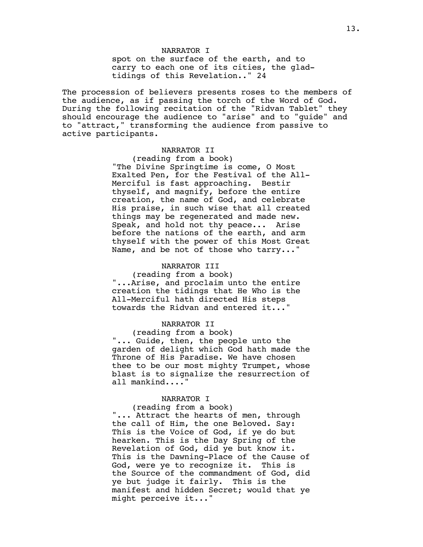spot on the surface of the earth, and to carry to each one of its cities, the gladtidings of this Revelation.." 24 NARRATOR I

The procession of believers presents roses to the members of the audience, as if passing the torch of the Word of God. During the following recitation of the "Ridvan Tablet" they should encourage the audience to "arise" and to "guide" and to "attract," transforming the audience from passive to active participants.

# NARRATOR II

(reading from a book) "The Divine Springtime is come, O Most Exalted Pen, for the Festival of the All-Merciful is fast approaching. Bestir thyself, and magnify, before the entire creation, the name of God, and celebrate His praise, in such wise that all created things may be regenerated and made new. Speak, and hold not thy peace... Arise before the nations of the earth, and arm thyself with the power of this Most Great Name, and be not of those who tarry..."

# NARRATOR III

(reading from a book) "...Arise, and proclaim unto the entire creation the tidings that He Who is the All-Merciful hath directed His steps towards the Ridvan and entered it..."

# NARRATOR II

(reading from a book) "... Guide, then, the people unto the garden of delight which God hath made the Throne of His Paradise. We have chosen thee to be our most mighty Trumpet, whose blast is to signalize the resurrection of all mankind...."

## NARRATOR I

## (reading from a book)

"... Attract the hearts of men, through the call of Him, the one Beloved. Say: This is the Voice of God, if ye do but hearken. This is the Day Spring of the Revelation of God, did ye but know it. This is the Dawning-Place of the Cause of God, were ye to recognize it. This is the Source of the commandment of God, did ye but judge it fairly. This is the manifest and hidden Secret; would that ye might perceive it..."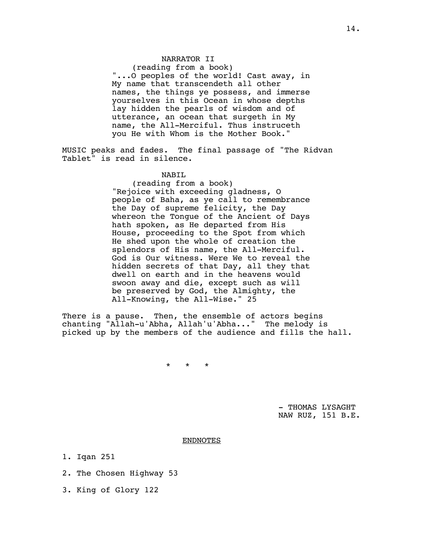#### NARRATOR II

(reading from a book) "...O peoples of the world! Cast away, in My name that transcendeth all other names, the things ye possess, and immerse yourselves in this Ocean in whose depths lay hidden the pearls of wisdom and of utterance, an ocean that surgeth in My name, the All-Merciful. Thus instruceth you He with Whom is the Mother Book."

MUSIC peaks and fades. The final passage of "The Ridvan Tablet" is read in silence.

# NABIL

(reading from a book) "Rejoice with exceeding gladness, O people of Baha, as ye call to remembrance the Day of supreme felicity, the Day whereon the Tongue of the Ancient of Days hath spoken, as He departed from His House, proceeding to the Spot from which He shed upon the whole of creation the splendors of His name, the All-Merciful. God is Our witness. Were We to reveal the hidden secrets of that Day, all they that dwell on earth and in the heavens would swoon away and die, except such as will be preserved by God, the Almighty, the All-Knowing, the All-Wise." 25

There is a pause. Then, the ensemble of actors begins chanting "Allah-u'Abha, Allah'u'Abha..." The melody is picked up by the members of the audience and fills the hall.

\* \* \*

- THOMAS LYSAGHT NAW RUZ, 151 B.E.

#### ENDNOTES

1. Iqan 251

- 2. The Chosen Highway 53
- 3. King of Glory 122